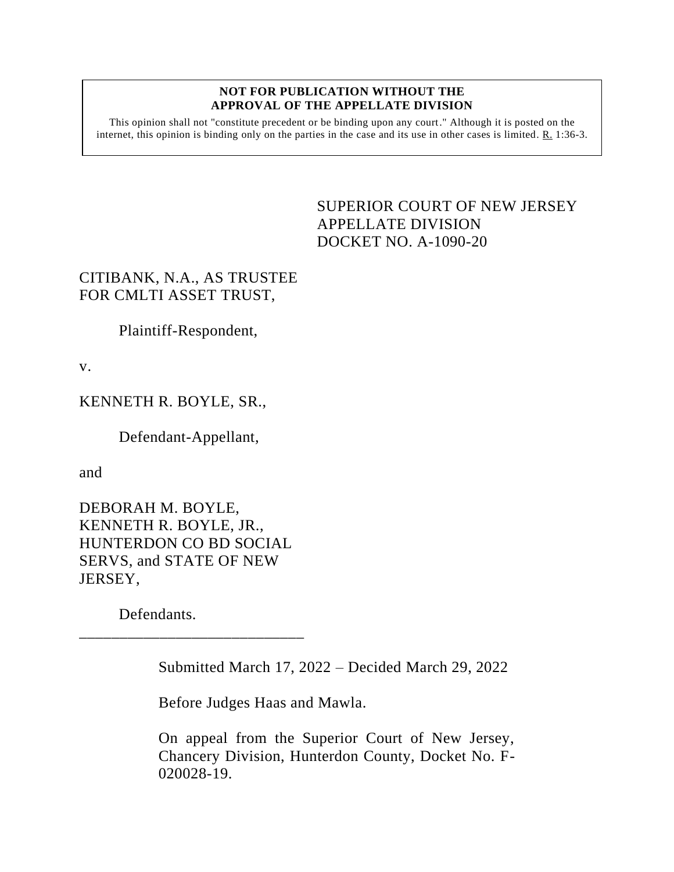## **NOT FOR PUBLICATION WITHOUT THE APPROVAL OF THE APPELLATE DIVISION**

This opinion shall not "constitute precedent or be binding upon any court." Although it is posted on the internet, this opinion is binding only on the parties in the case and its use in other cases is limited. R. 1:36-3.

## <span id="page-0-0"></span>SUPERIOR COURT OF NEW JERSEY APPELLATE DIVISION DOCKET NO. A-1090-20

## CITIBANK, N.A., AS TRUSTEE FOR CMLTI ASSET TRUST,

Plaintiff-Respondent,

v.

KENNETH R. BOYLE, SR.,

Defendant-Appellant,

and

DEBORAH M. BOYLE, KENNETH R. BOYLE, JR., HUNTERDON CO BD SOCIAL SERVS, and STATE OF NEW JERSEY,

\_\_\_\_\_\_\_\_\_\_\_\_\_\_\_\_\_\_\_\_\_\_\_\_\_\_\_\_

Defendants.

Submitted March 17, 2022 – Decided March 29, 2022

Before Judges Haas and Mawla.

On appeal from the Superior Court of New Jersey, Chancery Division, Hunterdon County, Docket No. F-020028-19.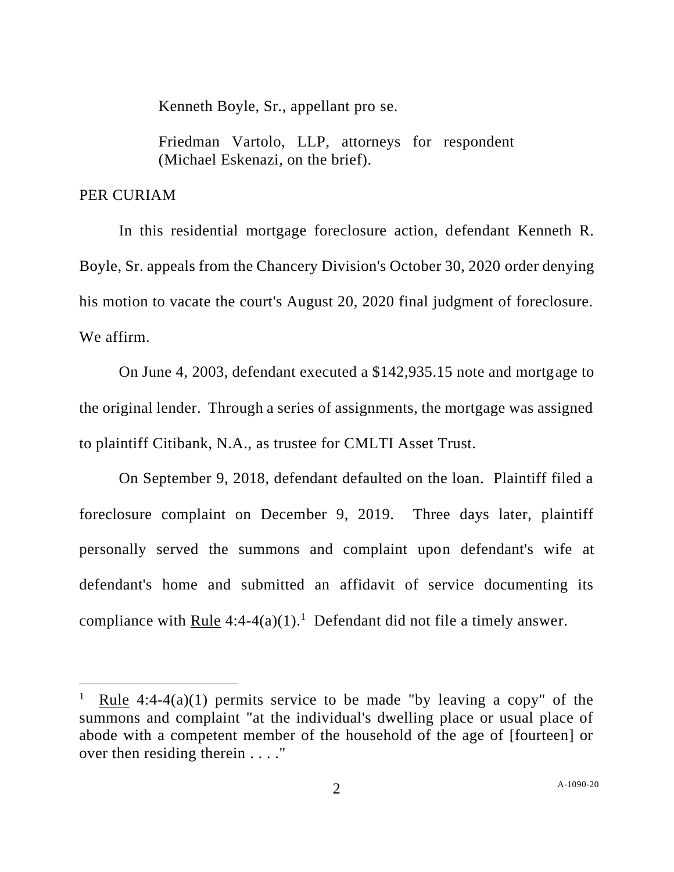Kenneth Boyle, Sr., appellant pro se.

Friedman Vartolo, LLP, attorneys for respondent (Michael Eskenazi, on the brief).

## PER CURIAM

In this residential mortgage foreclosure action, defendant Kenneth R. Boyle, Sr. appeals from the Chancery Division's October 30, 2020 order denying his motion to vacate the court's August 20, 2020 final judgment of foreclosure. We affirm.

On June 4, 2003, defendant executed a \$142,935.15 note and mortgage to the original lender. Through a series of assignments, the mortgage was assigned to plaintiff Citibank, N.A., as trustee for CMLTI Asset Trust.

On September 9, 2018, defendant defaulted on the loan. Plaintiff filed a foreclosure complaint on December 9, 2019. Three days later, plaintiff personally served the summons and complaint upon defendant's wife at defendant's home and submitted an affidavit of service documenting its compliance with  $Rule 4:4-4(a)(1).<sup>1</sup>$  Defendant did not file a timely answer.</u>

Rule  $4:4-4(a)(1)$  permits service to be made "by leaving a copy" of the summons and complaint "at the individual's dwelling place or usual place of abode with a competent member of the household of the age of [fourteen] or over then residing therein . . . ."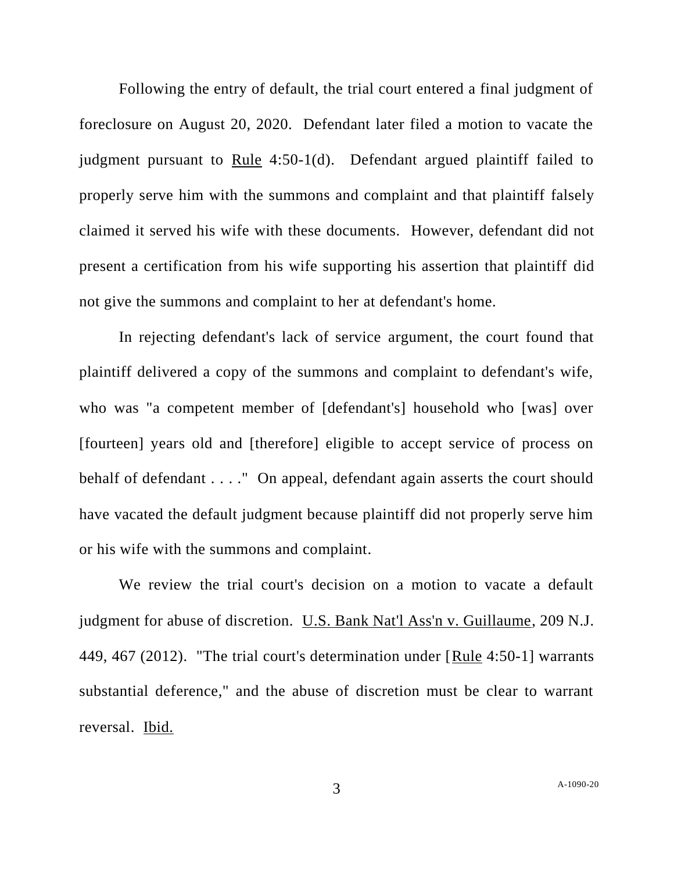Following the entry of default, the trial court entered a final judgment of foreclosure on August 20, 2020. Defendant later filed a motion to vacate the judgment pursuant to Rule 4:50-1(d). Defendant argued plaintiff failed to properly serve him with the summons and complaint and that plaintiff falsely claimed it served his wife with these documents. However, defendant did not present a certification from his wife supporting his assertion that plaintiff did not give the summons and complaint to her at defendant's home.

In rejecting defendant's lack of service argument, the court found that plaintiff delivered a copy of the summons and complaint to defendant's wife, who was "a competent member of [defendant's] household who [was] over [fourteen] years old and [therefore] eligible to accept service of process on behalf of defendant . . . ." On appeal, defendant again asserts the court should have vacated the default judgment because plaintiff did not properly serve him or his wife with the summons and complaint.

We review the trial court's decision on a motion to vacate a default judgment for abuse of discretion. U.S. Bank Nat'l Ass'n v. Guillaume, 209 N.J. 449, 467 (2012). "The trial court's determination under [Rule 4:50-1] warrants substantial deference," and the abuse of discretion must be clear to warrant reversal. Ibid.